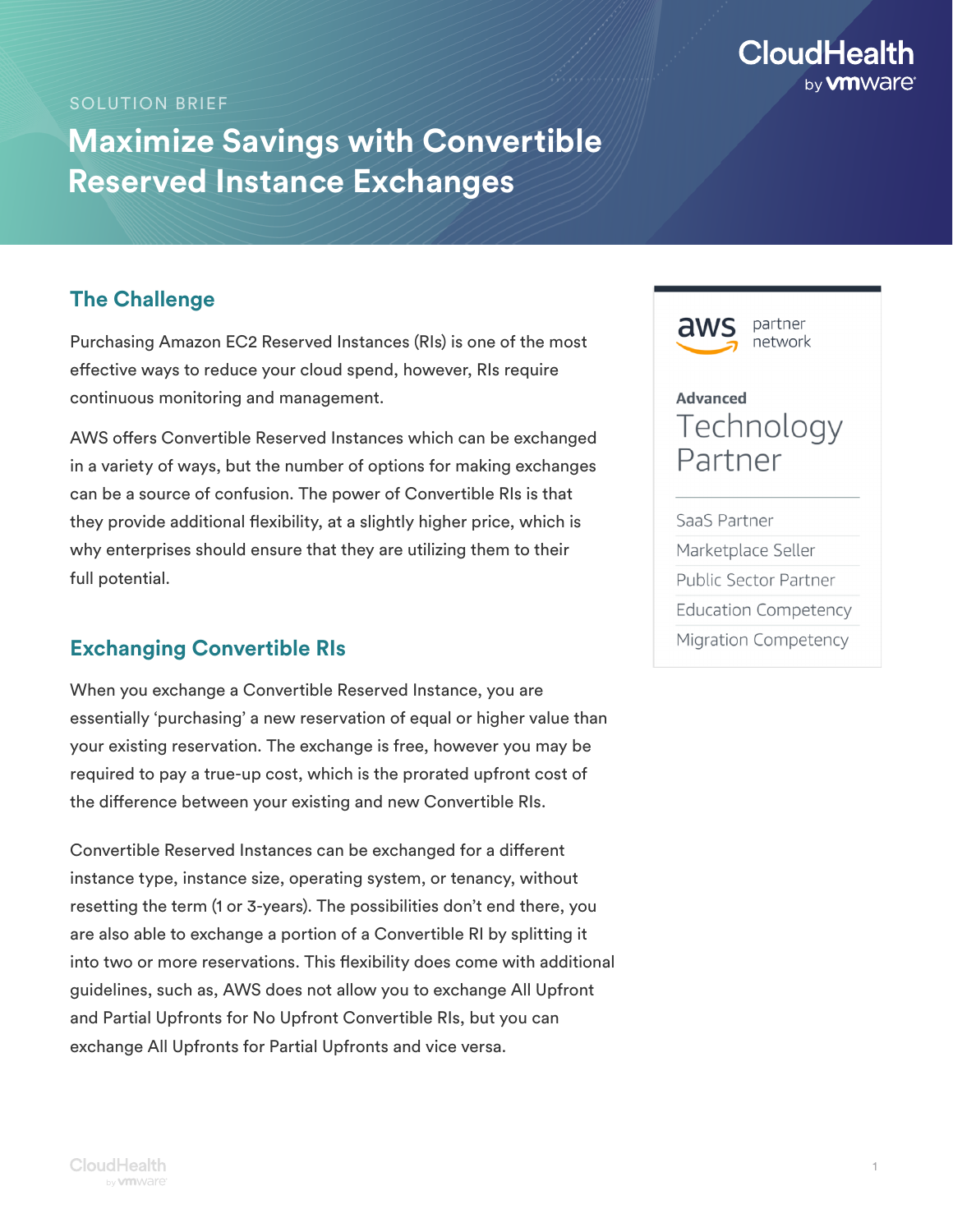

#### SOLUTION BRIEF

# **Maximize Savings with Convertible Reserved Instance Exchanges**

## **The Challenge**

Purchasing Amazon EC2 Reserved Instances (RIs) is one of the most effective ways to reduce your cloud spend, however, RIs require continuous monitoring and management.

AWS offers Convertible Reserved Instances which can be exchanged in a variety of ways, but the number of options for making exchanges can be a source of confusion. The power of Convertible RIs is that they provide additional flexibility, at a slightly higher price, which is why enterprises should ensure that they are utilizing them to their full potential.

### **Exchanging Convertible RIs**

When you exchange a Convertible Reserved Instance, you are essentially 'purchasing' a new reservation of equal or higher value than your existing reservation. The exchange is free, however you may be required to pay a true-up cost, which is the prorated upfront cost of the difference between your existing and new Convertible RIs.

Convertible Reserved Instances can be exchanged for a different instance type, instance size, operating system, or tenancy, without resetting the term (1 or 3-years). The possibilities don't end there, you are also able to exchange a portion of a Convertible RI by splitting it into two or more reservations. This flexibility does come with additional guidelines, such as, AWS does not allow you to exchange All Upfront and Partial Upfronts for No Upfront Convertible RIs, but you can exchange All Upfronts for Partial Upfronts and vice versa.